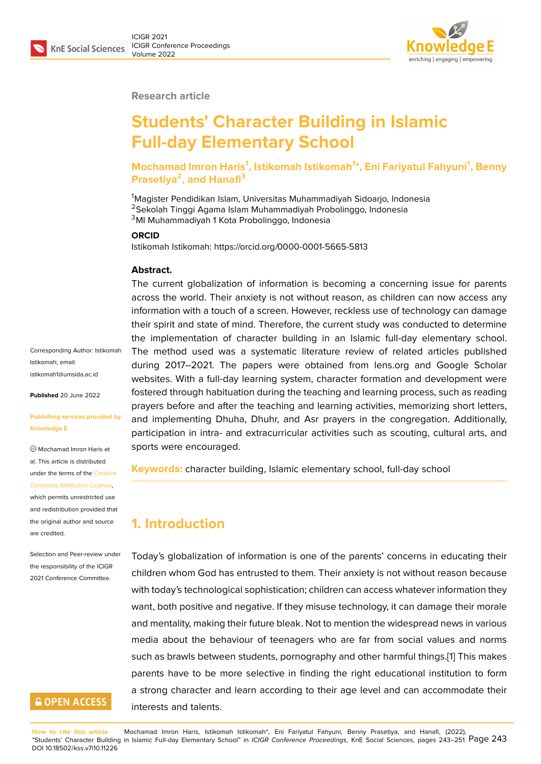

**Research article**

# **Students' Character Building in Islamic Full-day Elementary School**

**Mochamad Imron Haris<sup>1</sup> , Istikomah Istikomah<sup>1</sup> \*, Eni Fariyatul Fahyuni<sup>1</sup> , Benny Prasetiya<sup>2</sup> , and Hanafi<sup>3</sup>**

<sup>1</sup>Magister Pendidikan Islam, Universitas Muhammadiyah Sidoarjo, Indonesia <sup>2</sup>Sekolah Tinggi Agama Islam Muhammadiyah Probolinggo, Indonesia <sup>3</sup>MI Muhammadiyah 1 Kota Probolinggo, Indonesia

#### **ORCID**

Istikomah Istikomah: https://orcid.org/0000-0001-5665-5813

#### **Abstract.**

The current globalization of information is becoming a concerning issue for parents across the world. Their anxiety is not without reason, as children can now access any information with a touch of a screen. However, reckless use of technology can damage their spirit and state of mind. Therefore, the current study was conducted to determine the implementation of character building in an Islamic full-day elementary school. The method used was a systematic literature review of related articles published during 2017–2021. The papers were obtained from lens.org and Google Scholar websites. With a full-day learning system, character formation and development were fostered through habituation during the teaching and learning process, such as reading prayers before and after the teaching and learning activities, memorizing short letters, and implementing Dhuha, Dhuhr, and Asr prayers in the congregation. Additionally, participation in intra- and extracurricular activities such as scouting, cultural arts, and sports were encouraged.

**Keywords:** character building, Islamic elementary school, full-day school

# **1. Introduction**

Today's globalization of information is one of the parents' concerns in educating their children whom God has entrusted to them. Their anxiety is not without reason because with today's technological sophistication; children can access whatever information they want, both positive and negative. If they misuse technology, it can damage their morale and mentality, making their future bleak. Not to mention the widespread news in various media about the behaviour of teenagers who are far from social values and norms such as brawls between students, pornography and other harmful things.[1] This makes parents have to be more selective in finding the right educational institution to form a strong character and learn according to their age level and can accommodate their interests and talents.

Corresponding Author: Istikomah Istikomah; email: istikomah1@umsida.ac.id

**Published** 20 June 2022

#### **[Publishing services prov](mailto:istikomah1@umsida.ac.id)ided by Knowledge E**

Mochamad Imron Haris et al. This article is distributed under the terms of the Creative Commons Attribution License,

#### which permits unrestricted use and redistribution provided that the original author and [source](https://creativecommons.org/licenses/by/4.0/) [are credited.](https://creativecommons.org/licenses/by/4.0/)

Selection and Peer-review under the responsibility of the ICIGR 2021 Conference Committee.

# **GOPEN ACCESS**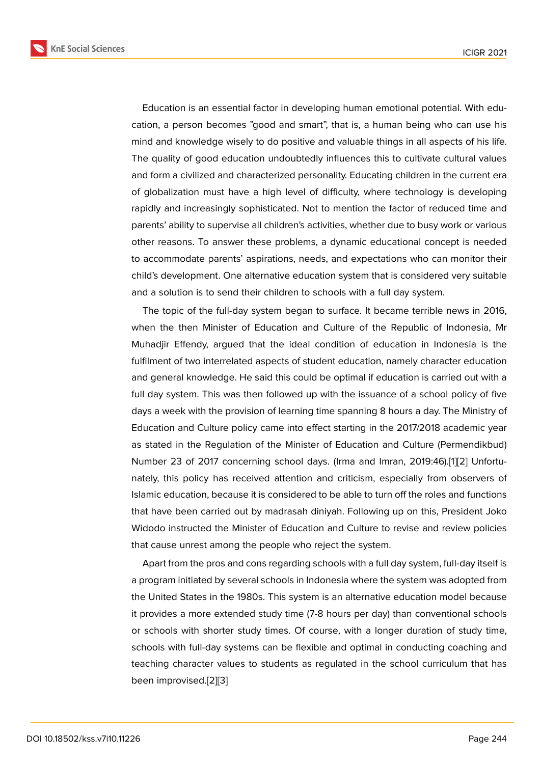Education is an essential factor in developing human emotional potential. With education, a person becomes "good and smart", that is, a human being who can use his mind and knowledge wisely to do positive and valuable things in all aspects of his life. The quality of good education undoubtedly influences this to cultivate cultural values and form a civilized and characterized personality. Educating children in the current era of globalization must have a high level of difficulty, where technology is developing rapidly and increasingly sophisticated. Not to mention the factor of reduced time and parents' ability to supervise all children's activities, whether due to busy work or various other reasons. To answer these problems, a dynamic educational concept is needed to accommodate parents' aspirations, needs, and expectations who can monitor their child's development. One alternative education system that is considered very suitable and a solution is to send their children to schools with a full day system.

The topic of the full-day system began to surface. It became terrible news in 2016, when the then Minister of Education and Culture of the Republic of Indonesia, Mr Muhadjir Effendy, argued that the ideal condition of education in Indonesia is the fulfilment of two interrelated aspects of student education, namely character education and general knowledge. He said this could be optimal if education is carried out with a full day system. This was then followed up with the issuance of a school policy of five days a week with the provision of learning time spanning 8 hours a day. The Ministry of Education and Culture policy came into effect starting in the 2017/2018 academic year as stated in the Regulation of the Minister of Education and Culture (Permendikbud) Number 23 of 2017 concerning school days. (Irma and Imran, 2019:46).[1][2] Unfortunately, this policy has received attention and criticism, especially from observers of Islamic education, because it is considered to be able to turn off the roles and functions that have been carried out by madrasah diniyah. Following up on this, Pr[e](#page-7-0)[sid](#page-7-1)ent Joko Widodo instructed the Minister of Education and Culture to revise and review policies that cause unrest among the people who reject the system.

Apart from the pros and cons regarding schools with a full day system, full-day itself is a program initiated by several schools in Indonesia where the system was adopted from the United States in the 1980s. This system is an alternative education model because it provides a more extended study time (7-8 hours per day) than conventional schools or schools with shorter study times. Of course, with a longer duration of study time, schools with full-day systems can be flexible and optimal in conducting coaching and teaching character values to students as regulated in the school curriculum that has been improvised.[2][3]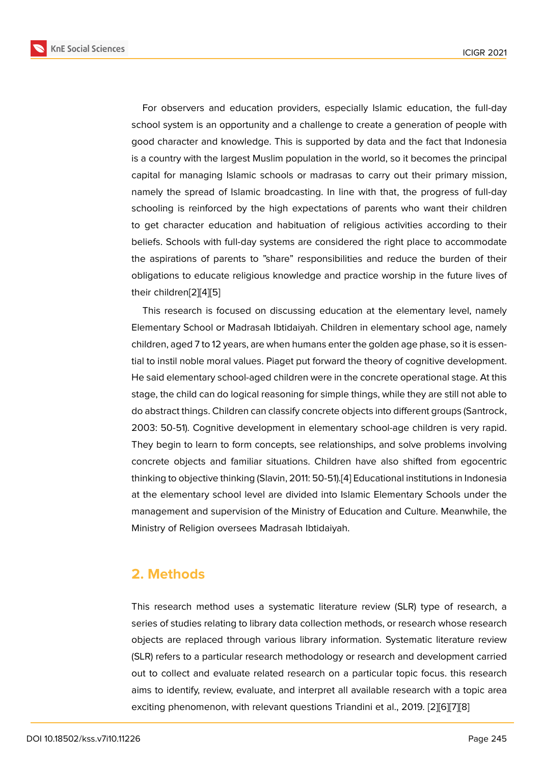For observers and education providers, especially Islamic education, the full-day school system is an opportunity and a challenge to create a generation of people with good character and knowledge. This is supported by data and the fact that Indonesia is a country with the largest Muslim population in the world, so it becomes the principal capital for managing Islamic schools or madrasas to carry out their primary mission, namely the spread of Islamic broadcasting. In line with that, the progress of full-day schooling is reinforced by the high expectations of parents who want their children to get character education and habituation of religious activities according to their beliefs. Schools with full-day systems are considered the right place to accommodate the aspirations of parents to "share" responsibilities and reduce the burden of their obligations to educate religious knowledge and practice worship in the future lives of their children[2][4][5]

This research is focused on discussing education at the elementary level, namely Elementary School or Madrasah Ibtidaiyah. Children in elementary school age, namely children, age[d 7](#page-7-1) [to](#page-7-2) [12](#page-7-3) years, are when humans enter the golden age phase, so it is essential to instil noble moral values. Piaget put forward the theory of cognitive development. He said elementary school-aged children were in the concrete operational stage. At this stage, the child can do logical reasoning for simple things, while they are still not able to do abstract things. Children can classify concrete objects into different groups (Santrock, 2003: 50-51). Cognitive development in elementary school-age children is very rapid. They begin to learn to form concepts, see relationships, and solve problems involving concrete objects and familiar situations. Children have also shifted from egocentric thinking to objective thinking (Slavin, 2011: 50-51).[4] Educational institutions in Indonesia at the elementary school level are divided into Islamic Elementary Schools under the management and supervision of the Ministry of Education and Culture. Meanwhile, the Ministry of Religion oversees Madrasah Ibtidaiya[h.](#page-7-2)

# **2. Methods**

This research method uses a systematic literature review (SLR) type of research, a series of studies relating to library data collection methods, or research whose research objects are replaced through various library information. Systematic literature review (SLR) refers to a particular research methodology or research and development carried out to collect and evaluate related research on a particular topic focus. this research aims to identify, review, evaluate, and interpret all available research with a topic area exciting phenomenon, with relevant questions Triandini et al., 2019. [2][6][7][8]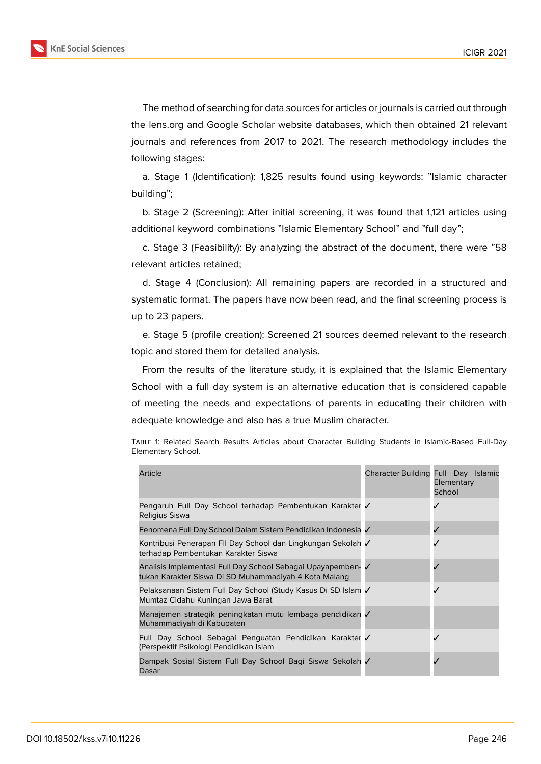following stages:



The method of searching for data sources for articles or journals is carried out through the lens.org and Google Scholar website databases, which then obtained 21 relevant journals and references from 2017 to 2021. The research methodology includes the

a. Stage 1 (Identification): 1,825 results found using keywords: "Islamic character building";

b. Stage 2 (Screening): After initial screening, it was found that 1,121 articles using additional keyword combinations "Islamic Elementary School" and "full day";

c. Stage 3 (Feasibility): By analyzing the abstract of the document, there were "58 relevant articles retained;

d. Stage 4 (Conclusion): All remaining papers are recorded in a structured and systematic format. The papers have now been read, and the final screening process is up to 23 papers.

e. Stage 5 (profile creation): Screened 21 sources deemed relevant to the research topic and stored them for detailed analysis.

From the results of the literature study, it is explained that the Islamic Elementary School with a full day system is an alternative education that is considered capable of meeting the needs and expectations of parents in educating their children with adequate knowledge and also has a true Muslim character.

| Elementary School.                                       |                                     |                      |
|----------------------------------------------------------|-------------------------------------|----------------------|
| Article                                                  | Character Building Full Day Islamic | Elementary<br>School |
| Bongaruh Euli Day School torhadan Bombontukan Karakter / |                                     |                      |

Table 1: Related Search Results Articles about Character Building Students in Islamic-Based Full-Day

|                                                                                                                       | <b>Elementary</b><br>School |
|-----------------------------------------------------------------------------------------------------------------------|-----------------------------|
| Pengaruh Full Day School terhadap Pembentukan Karakter √<br>Religius Siswa                                            |                             |
| Fenomena Full Day School Dalam Sistem Pendidikan Indonesia ✔                                                          |                             |
| Kontribusi Penerapan FII Day School dan Lingkungan Sekolah √<br>terhadap Pembentukan Karakter Siswa                   |                             |
| Analisis Implementasi Full Day School Sebagai Upayapemben- √<br>tukan Karakter Siswa Di SD Muhammadiyah 4 Kota Malang |                             |
| Pelaksanaan Sistem Full Day School (Study Kasus Di SD Islam √<br>Mumtaz Cidahu Kuningan Jawa Barat                    |                             |
| Manajemen strategik peningkatan mutu lembaga pendidikan √<br>Muhammadiyah di Kabupaten                                |                             |
| Full Day School Sebagai Penguatan Pendidikan Karakter<br>(Perspektif Psikologi Pendidikan Islam                       |                             |
| Dampak Sosial Sistem Full Day School Bagi Siswa Sekolah √<br>Dasar                                                    |                             |
|                                                                                                                       |                             |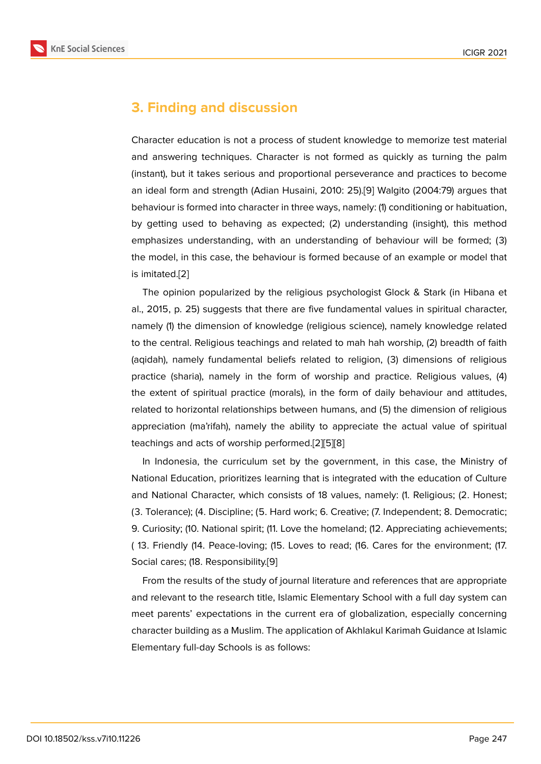# **3. Finding and discussion**

Character education is not a process of student knowledge to memorize test material and answering techniques. Character is not formed as quickly as turning the palm (instant), but it takes serious and proportional perseverance and practices to become an ideal form and strength (Adian Husaini, 2010: 25).[9] Walgito (2004:79) argues that behaviour is formed into character in three ways, namely: (1) conditioning or habituation, by getting used to behaving as expected; (2) understanding (insight), this method emphasizes understanding, with an understanding [of](#page-7-4) behaviour will be formed; (3) the model, in this case, the behaviour is formed because of an example or model that is imitated.[2]

The opinion popularized by the religious psychologist Glock & Stark (in Hibana et al., 2015, p. 25) suggests that there are five fundamental values in spiritual character, namely (1) t[he](#page-7-1) dimension of knowledge (religious science), namely knowledge related to the central. Religious teachings and related to mah hah worship, (2) breadth of faith (aqidah), namely fundamental beliefs related to religion, (3) dimensions of religious practice (sharia), namely in the form of worship and practice. Religious values, (4) the extent of spiritual practice (morals), in the form of daily behaviour and attitudes, related to horizontal relationships between humans, and (5) the dimension of religious appreciation (ma'rifah), namely the ability to appreciate the actual value of spiritual teachings and acts of worship performed.[2][5][8]

In Indonesia, the curriculum set by the government, in this case, the Ministry of National Education, prioritizes learning that is integrated with the education of Culture and National Character, which consists of [1](#page-7-1)[8 v](#page-7-3)[al](#page-7-5)ues, namely: (1. Religious; (2. Honest; (3. Tolerance); (4. Discipline; (5. Hard work; 6. Creative; (7. Independent; 8. Democratic; 9. Curiosity; (10. National spirit; (11. Love the homeland; (12. Appreciating achievements; ( 13. Friendly (14. Peace-loving; (15. Loves to read; (16. Cares for the environment; (17. Social cares; (18. Responsibility.[9]

From the results of the study of journal literature and references that are appropriate and relevant to the research title, Islamic Elementary School with a full day system can meet parents' expectations in [th](#page-7-4)e current era of globalization, especially concerning character building as a Muslim. The application of Akhlakul Karimah Guidance at Islamic Elementary full-day Schools is as follows: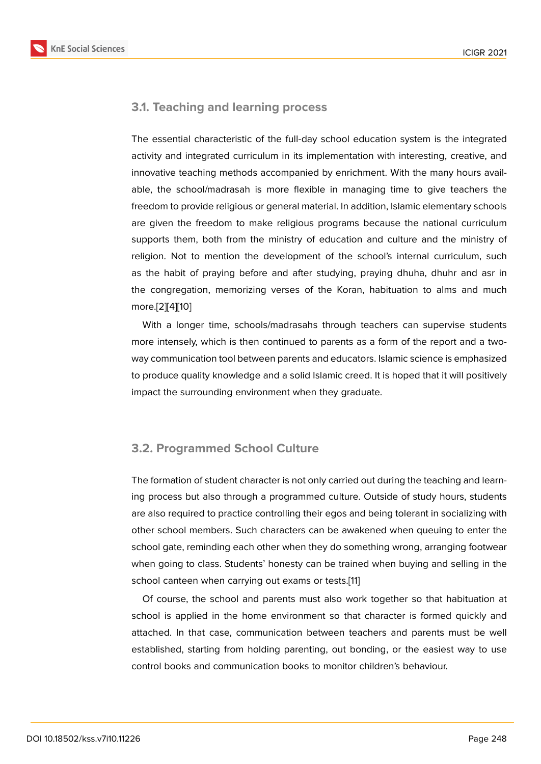### **3.1. Teaching and learning process**

The essential characteristic of the full-day school education system is the integrated activity and integrated curriculum in its implementation with interesting, creative, and innovative teaching methods accompanied by enrichment. With the many hours available, the school/madrasah is more flexible in managing time to give teachers the freedom to provide religious or general material. In addition, Islamic elementary schools are given the freedom to make religious programs because the national curriculum supports them, both from the ministry of education and culture and the ministry of religion. Not to mention the development of the school's internal curriculum, such as the habit of praying before and after studying, praying dhuha, dhuhr and asr in the congregation, memorizing verses of the Koran, habituation to alms and much more.[2][4][10]

With a longer time, schools/madrasahs through teachers can supervise students more intensely, which is then continued to parents as a form of the report and a twoway c[om](#page-7-1)[m](#page-7-2)[uni](#page-7-6)cation tool between parents and educators. Islamic science is emphasized to produce quality knowledge and a solid Islamic creed. It is hoped that it will positively impact the surrounding environment when they graduate.

### **3.2. Programmed School Culture**

The formation of student character is not only carried out during the teaching and learning process but also through a programmed culture. Outside of study hours, students are also required to practice controlling their egos and being tolerant in socializing with other school members. Such characters can be awakened when queuing to enter the school gate, reminding each other when they do something wrong, arranging footwear when going to class. Students' honesty can be trained when buying and selling in the school canteen when carrying out exams or tests.[11]

Of course, the school and parents must also work together so that habituation at school is applied in the home environment so that character is formed quickly and attached. In that case, communication between [tea](#page-8-0)chers and parents must be well established, starting from holding parenting, out bonding, or the easiest way to use control books and communication books to monitor children's behaviour.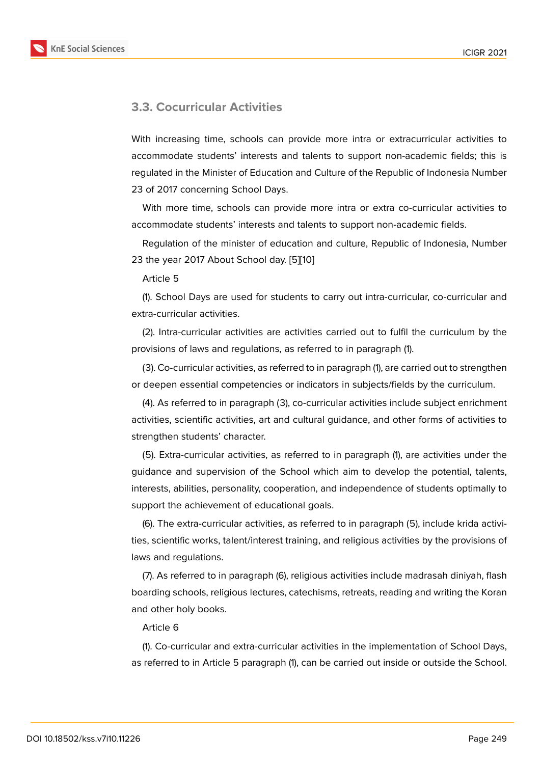#### **3.3. Cocurricular Activities**

With increasing time, schools can provide more intra or extracurricular activities to accommodate students' interests and talents to support non-academic fields; this is regulated in the Minister of Education and Culture of the Republic of Indonesia Number 23 of 2017 concerning School Days.

With more time, schools can provide more intra or extra co-curricular activities to accommodate students' interests and talents to support non-academic fields.

Regulation of the minister of education and culture, Republic of Indonesia, Number 23 the year 2017 About School day. [5][10]

Article 5

(1). School Days are used for stud[en](#page-7-3)[ts t](#page-7-6)o carry out intra-curricular, co-curricular and extra-curricular activities.

(2). Intra-curricular activities are activities carried out to fulfil the curriculum by the provisions of laws and regulations, as referred to in paragraph (1).

(3). Co-curricular activities, as referred to in paragraph (1), are carried out to strengthen or deepen essential competencies or indicators in subjects/fields by the curriculum.

(4). As referred to in paragraph (3), co-curricular activities include subject enrichment activities, scientific activities, art and cultural guidance, and other forms of activities to strengthen students' character.

(5). Extra-curricular activities, as referred to in paragraph (1), are activities under the guidance and supervision of the School which aim to develop the potential, talents, interests, abilities, personality, cooperation, and independence of students optimally to support the achievement of educational goals.

(6). The extra-curricular activities, as referred to in paragraph (5), include krida activities, scientific works, talent/interest training, and religious activities by the provisions of laws and regulations.

(7). As referred to in paragraph (6), religious activities include madrasah diniyah, flash boarding schools, religious lectures, catechisms, retreats, reading and writing the Koran and other holy books.

Article 6

(1). Co-curricular and extra-curricular activities in the implementation of School Days, as referred to in Article 5 paragraph (1), can be carried out inside or outside the School.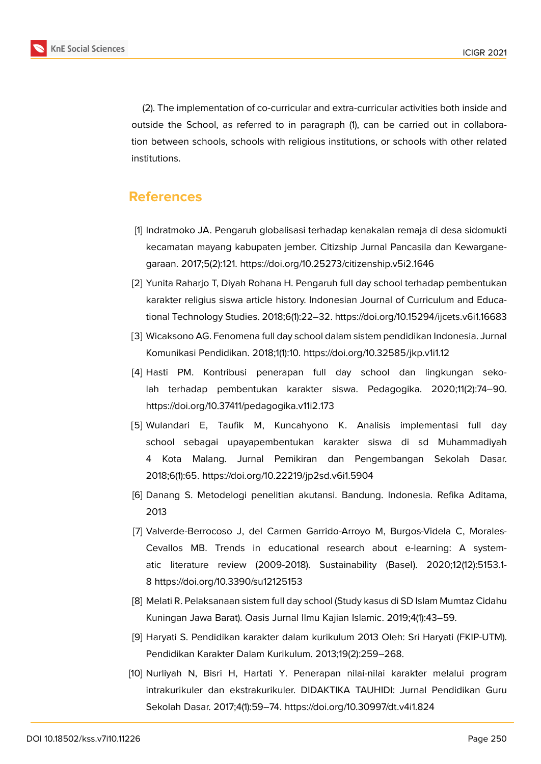**KnE Social Sciences** 



(2). The implementation of co-curricular and extra-curricular activities both inside and outside the School, as referred to in paragraph (1), can be carried out in collaboration between schools, schools with religious institutions, or schools with other related institutions.

### **References**

- <span id="page-7-0"></span>[1] Indratmoko JA. Pengaruh globalisasi terhadap kenakalan remaja di desa sidomukti kecamatan mayang kabupaten jember. Citizship Jurnal Pancasila dan Kewarganegaraan. 2017;5(2):121. https://doi.org/10.25273/citizenship.v5i2.1646
- <span id="page-7-1"></span>[2] Yunita Raharjo T, Diyah Rohana H. Pengaruh full day school terhadap pembentukan karakter religius siswa article history. Indonesian Journal of Curriculum and Educational Technology Studies. 2018;6(1):22–32. https://doi.org/10.15294/ijcets.v6i1.16683
- [3] Wicaksono AG. Fenomena full day school dalam sistem pendidikan Indonesia. Jurnal Komunikasi Pendidikan. 2018;1(1):10. https://doi.org/10.32585/jkp.v1i1.12
- <span id="page-7-2"></span>[4] Hasti PM. Kontribusi penerapan full day school dan lingkungan sekolah terhadap pembentukan karakter siswa. Pedagogika. 2020;11(2):74–90. https://doi.org/10.37411/pedagogika.v11i2.173
- <span id="page-7-3"></span>[5] Wulandari E, Taufik M, Kuncahyono K. Analisis implementasi full day school sebagai upayapembentukan karakter siswa di sd Muhammadiyah 4 Kota Malang. Jurnal Pemikiran dan Pengembangan Sekolah Dasar. 2018;6(1):65. https://doi.org/10.22219/jp2sd.v6i1.5904
- [6] Danang S. Metodelogi penelitian akutansi. Bandung. Indonesia. Refika Aditama, 2013
- [7] Valverde-Berrocoso J, del Carmen Garrido-Arroyo M, Burgos-Videla C, Morales-Cevallos MB. Trends in educational research about e-learning: A systematic literature review (2009-2018). Sustainability (Basel). 2020;12(12):5153.1- 8 https://doi.org/10.3390/su12125153
- <span id="page-7-5"></span>[8] Melati R. Pelaksanaan sistem full day school (Study kasus di SD Islam Mumtaz Cidahu Kuningan Jawa Barat). Oasis Jurnal Ilmu Kajian Islamic. 2019;4(1):43–59.
- <span id="page-7-4"></span>[9] Haryati S. Pendidikan karakter dalam kurikulum 2013 Oleh: Sri Haryati (FKIP-UTM). Pendidikan Karakter Dalam Kurikulum. 2013;19(2):259–268.
- <span id="page-7-6"></span>[10] Nurliyah N, Bisri H, Hartati Y. Penerapan nilai-nilai karakter melalui program intrakurikuler dan ekstrakurikuler. DIDAKTIKA TAUHIDI: Jurnal Pendidikan Guru Sekolah Dasar. 2017;4(1):59–74. https://doi.org/10.30997/dt.v4i1.824